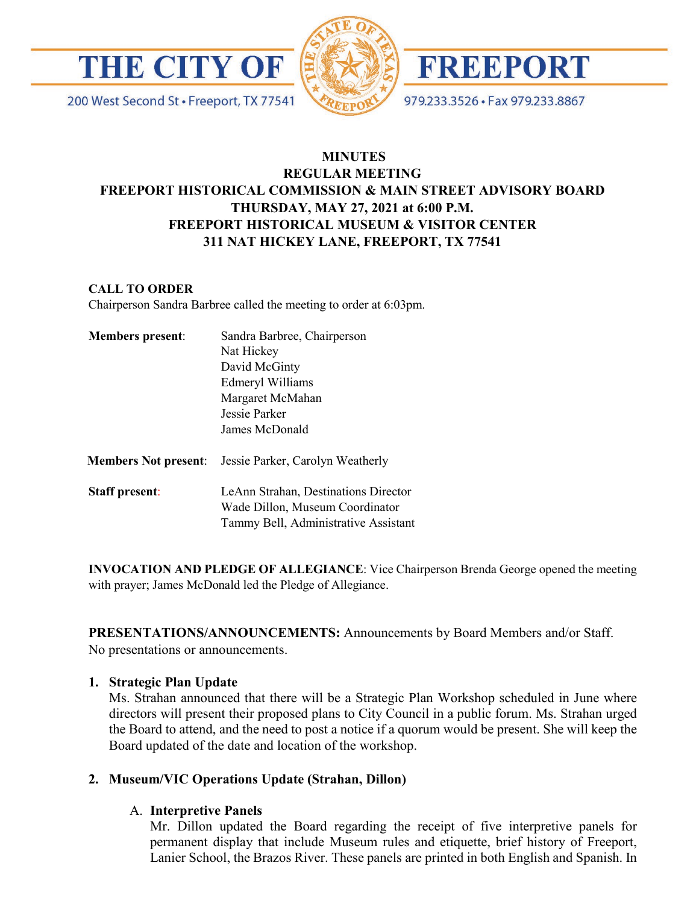

200 West Second St · Freeport, TX 77541





979.233.3526 · Fax 979.233.8867

# **MINUTES REGULAR MEETING FREEPORT HISTORICAL COMMISSION & MAIN STREET ADVISORY BOARD THURSDAY, MAY 27, 2021 at 6:00 P.M. FREEPORT HISTORICAL MUSEUM & VISITOR CENTER 311 NAT HICKEY LANE, FREEPORT, TX 77541**

#### **CALL TO ORDER**

Chairperson Sandra Barbree called the meeting to order at 6:03pm.

| <b>Members present:</b> | Sandra Barbree, Chairperson<br>Nat Hickey<br>David McGinty<br>Edmeryl Williams<br>Margaret McMahan<br>Jessie Parker<br>James McDonald |
|-------------------------|---------------------------------------------------------------------------------------------------------------------------------------|
| Members Not present:    | Jessie Parker, Carolyn Weatherly                                                                                                      |
| <b>Staff present:</b>   | LeAnn Strahan, Destinations Director<br>Wade Dillon, Museum Coordinator<br>Tammy Bell, Administrative Assistant                       |

**INVOCATION AND PLEDGE OF ALLEGIANCE**: Vice Chairperson Brenda George opened the meeting with prayer; James McDonald led the Pledge of Allegiance.

**PRESENTATIONS/ANNOUNCEMENTS:** Announcements by Board Members and/or Staff. No presentations or announcements.

#### **1. Strategic Plan Update**

Ms. Strahan announced that there will be a Strategic Plan Workshop scheduled in June where directors will present their proposed plans to City Council in a public forum. Ms. Strahan urged the Board to attend, and the need to post a notice if a quorum would be present. She will keep the Board updated of the date and location of the workshop.

# **2. Museum/VIC Operations Update (Strahan, Dillon)**

# A. **Interpretive Panels**

Mr. Dillon updated the Board regarding the receipt of five interpretive panels for permanent display that include Museum rules and etiquette, brief history of Freeport, Lanier School, the Brazos River. These panels are printed in both English and Spanish. In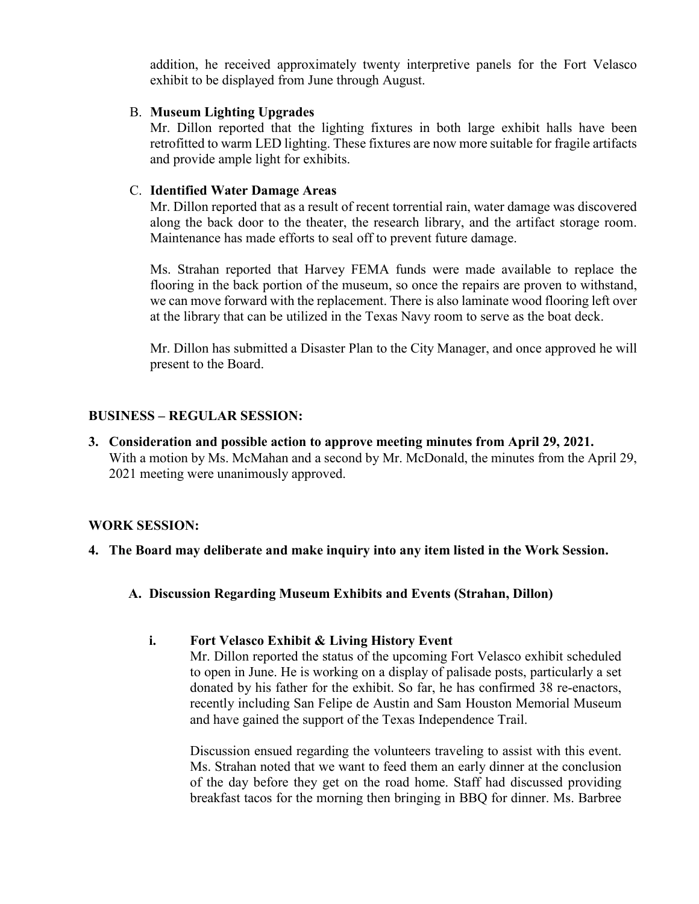addition, he received approximately twenty interpretive panels for the Fort Velasco exhibit to be displayed from June through August.

#### B. **Museum Lighting Upgrades**

Mr. Dillon reported that the lighting fixtures in both large exhibit halls have been retrofitted to warm LED lighting. These fixtures are now more suitable for fragile artifacts and provide ample light for exhibits.

#### C. **Identified Water Damage Areas**

Mr. Dillon reported that as a result of recent torrential rain, water damage was discovered along the back door to the theater, the research library, and the artifact storage room. Maintenance has made efforts to seal off to prevent future damage.

Ms. Strahan reported that Harvey FEMA funds were made available to replace the flooring in the back portion of the museum, so once the repairs are proven to withstand, we can move forward with the replacement. There is also laminate wood flooring left over at the library that can be utilized in the Texas Navy room to serve as the boat deck.

Mr. Dillon has submitted a Disaster Plan to the City Manager, and once approved he will present to the Board.

# **BUSINESS – REGULAR SESSION:**

**3. Consideration and possible action to approve meeting minutes from April 29, 2021.**  With a motion by Ms. McMahan and a second by Mr. McDonald, the minutes from the April 29, 2021 meeting were unanimously approved.

# **WORK SESSION:**

- **4. The Board may deliberate and make inquiry into any item listed in the Work Session.**
	- **A. Discussion Regarding Museum Exhibits and Events (Strahan, Dillon)**

# **i. Fort Velasco Exhibit & Living History Event**

Mr. Dillon reported the status of the upcoming Fort Velasco exhibit scheduled to open in June. He is working on a display of palisade posts, particularly a set donated by his father for the exhibit. So far, he has confirmed 38 re-enactors, recently including San Felipe de Austin and Sam Houston Memorial Museum and have gained the support of the Texas Independence Trail.

Discussion ensued regarding the volunteers traveling to assist with this event. Ms. Strahan noted that we want to feed them an early dinner at the conclusion of the day before they get on the road home. Staff had discussed providing breakfast tacos for the morning then bringing in BBQ for dinner. Ms. Barbree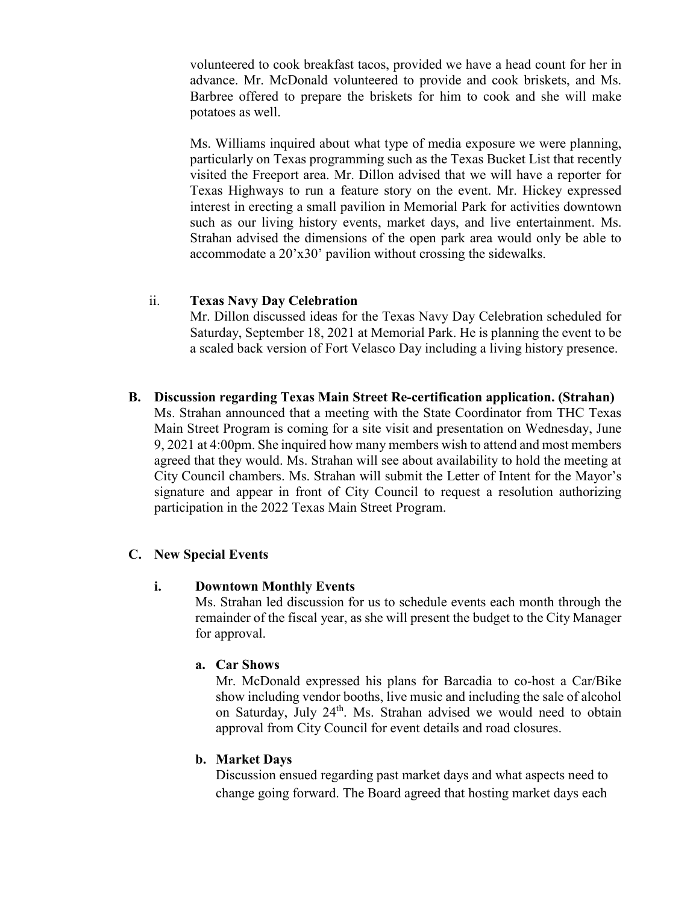volunteered to cook breakfast tacos, provided we have a head count for her in advance. Mr. McDonald volunteered to provide and cook briskets, and Ms. Barbree offered to prepare the briskets for him to cook and she will make potatoes as well.

Ms. Williams inquired about what type of media exposure we were planning, particularly on Texas programming such as the Texas Bucket List that recently visited the Freeport area. Mr. Dillon advised that we will have a reporter for Texas Highways to run a feature story on the event. Mr. Hickey expressed interest in erecting a small pavilion in Memorial Park for activities downtown such as our living history events, market days, and live entertainment. Ms. Strahan advised the dimensions of the open park area would only be able to accommodate a 20'x30' pavilion without crossing the sidewalks.

#### ii. **Texas Navy Day Celebration**

Mr. Dillon discussed ideas for the Texas Navy Day Celebration scheduled for Saturday, September 18, 2021 at Memorial Park. He is planning the event to be a scaled back version of Fort Velasco Day including a living history presence.

**B. Discussion regarding Texas Main Street Re-certification application. (Strahan)** Ms. Strahan announced that a meeting with the State Coordinator from THC Texas Main Street Program is coming for a site visit and presentation on Wednesday, June 9, 2021 at 4:00pm. She inquired how many members wish to attend and most members agreed that they would. Ms. Strahan will see about availability to hold the meeting at City Council chambers. Ms. Strahan will submit the Letter of Intent for the Mayor's signature and appear in front of City Council to request a resolution authorizing participation in the 2022 Texas Main Street Program.

# **C. New Special Events**

#### **i. Downtown Monthly Events**

Ms. Strahan led discussion for us to schedule events each month through the remainder of the fiscal year, as she will present the budget to the City Manager for approval.

# **a. Car Shows**

Mr. McDonald expressed his plans for Barcadia to co-host a Car/Bike show including vendor booths, live music and including the sale of alcohol on Saturday, July 24<sup>th</sup>. Ms. Strahan advised we would need to obtain approval from City Council for event details and road closures.

# **b. Market Days**

Discussion ensued regarding past market days and what aspects need to change going forward. The Board agreed that hosting market days each